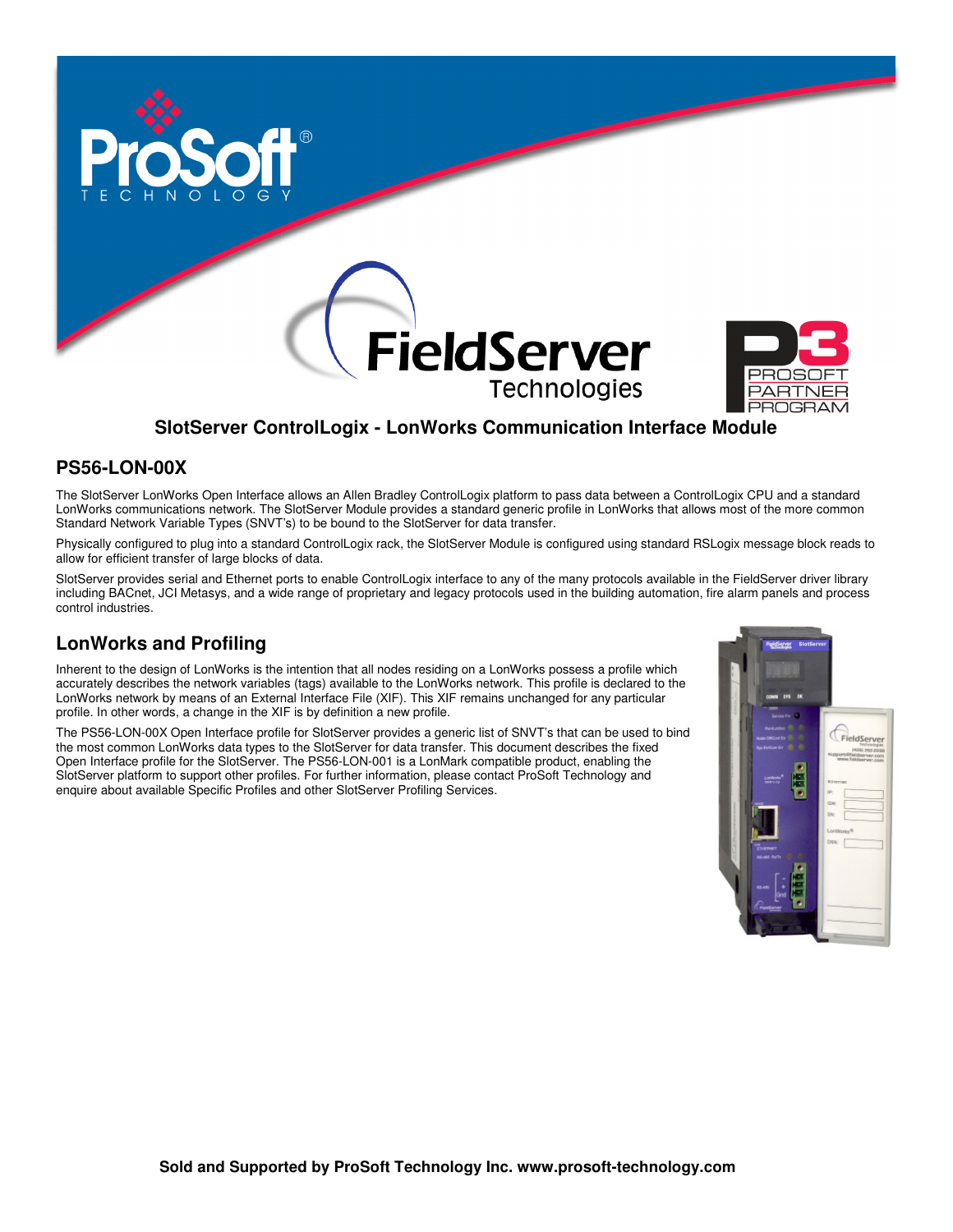





# **SlotServer ControlLogix - LonWorks Communication Interface Module**

## **PS56-LON-00X**

The SlotServer LonWorks Open Interface allows an Allen Bradley ControlLogix platform to pass data between a ControlLogix CPU and a standard LonWorks communications network. The SlotServer Module provides a standard generic profile in LonWorks that allows most of the more common Standard Network Variable Types (SNVT's) to be bound to the SlotServer for data transfer.

Physically configured to plug into a standard ControlLogix rack, the SlotServer Module is configured using standard RSLogix message block reads to allow for efficient transfer of large blocks of data.

SlotServer provides serial and Ethernet ports to enable ControlLogix interface to any of the many protocols available in the FieldServer driver library including BACnet, JCI Metasys, and a wide range of proprietary and legacy protocols used in the building automation, fire alarm panels and process control industries.

## **LonWorks and Profiling**

Inherent to the design of LonWorks is the intention that all nodes residing on a LonWorks possess a profile which accurately describes the network variables (tags) available to the LonWorks network. This profile is declared to the LonWorks network by means of an External Interface File (XIF). This XIF remains unchanged for any particular profile. In other words, a change in the XIF is by definition a new profile.

The PS56-LON-00X Open Interface profile for SlotServer provides a generic list of SNVT's that can be used to bind the most common LonWorks data types to the SlotServer for data transfer. This document describes the fixed Open Interface profile for the SlotServer. The PS56-LON-001 is a LonMark compatible product, enabling the SlotServer platform to support other profiles. For further information, please contact ProSoft Technology and enquire about available Specific Profiles and other SlotServer Profiling Services.

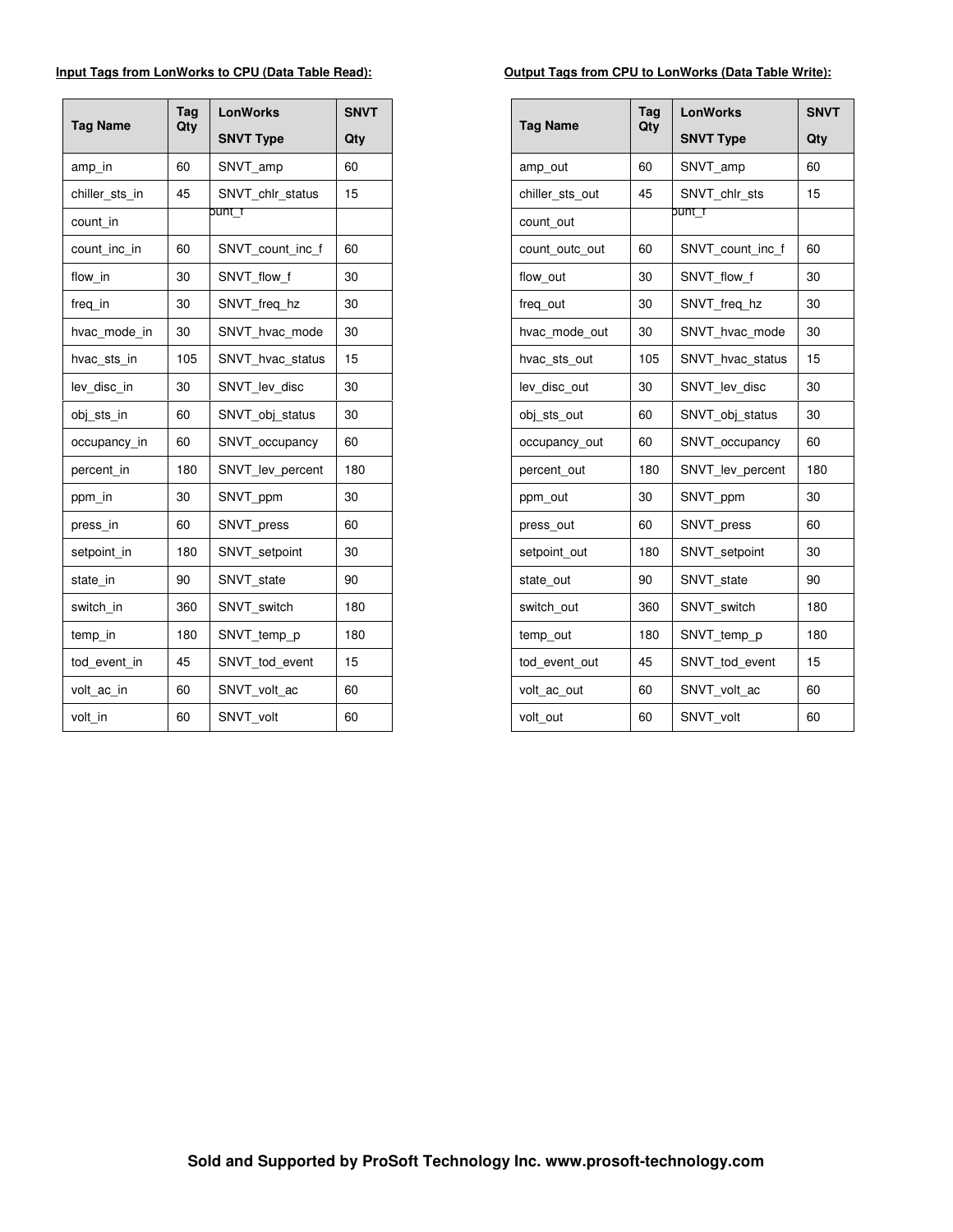### **Input Tags from LonWorks to CPU (Data Table Read):**

| <b>Tag Name</b> | Tag<br>Qty | LonWorks         | <b>SNVT</b> |
|-----------------|------------|------------------|-------------|
|                 |            | <b>SNVT Type</b> | Qty         |
| amp in          | 60         | SNVT amp         | 60          |
| chiller sts in  | 45         | SNVT chlr status | 15          |
| count in        |            | punt f           |             |
| count inc in    | 60         | SNVT_count_inc_f | 60          |
| flow in         | 30         | SNVT flow f      | 30          |
| freq_in         | 30         | SNVT freg hz     | 30          |
| hvac mode in    | 30         | SNVT hvac mode   | 30          |
| hvac sts in     | 105        | SNVT_hvac_status | 15          |
| lev disc in     | 30         | SNVT lev disc    | 30          |
| obj sts in      | 60         | SNVT obj status  | 30          |
| occupancy in    | 60         | SNVT occupancy   | 60          |
| percent in      | 180        | SNVT lev percent | 180         |
| ppm in          | 30         | SNVT ppm         | 30          |
| press in        | 60         | SNVT press       | 60          |
| setpoint_in     | 180        | SNVT setpoint    | 30          |
| state in        | 90         | SNVT state       | 90          |
| switch in       | 360        | SNVT switch      | 180         |
| temp in         | 180        | SNVT_temp_p      | 180         |
| tod event in    | 45         | SNVT tod event   | 15          |
| volt ac in      | 60         | SNVT_volt_ac     | 60          |
| volt_in         | 60         | SNVT volt        | 60          |

### **Output Tags from CPU to LonWorks (Data Table Write):**

|                 | Tag<br>Qty | <b>LonWorks</b>  | <b>SNVT</b> |
|-----------------|------------|------------------|-------------|
| <b>Tag Name</b> |            | <b>SNVT Type</b> | Qty         |
| amp out         | 60         | SNVT amp         | 60          |
| chiller sts out | 45         | SNVT chlr sts    | 15          |
| count out       |            | punt f           |             |
| count outc out  | 60         | SNVT count inc f | 60          |
| flow_out        | 30         | SNVT flow f      | 30          |
| freq out        | 30         | SNVT freg hz     | 30          |
| hvac mode out   | 30         | SNVT hvac mode   | 30          |
| hvac sts out    | 105        | SNVT_hvac_status | 15          |
| lev disc out    | 30         | SNVT lev disc    | 30          |
| obj_sts_out     | 60         | SNVT_obj_status  | 30          |
| occupancy_out   | 60         | SNVT occupancy   | 60          |
| percent_out     | 180        | SNVT_lev_percent | 180         |
| ppm_out         | 30         | SNVT ppm         | 30          |
| press out       | 60         | SNVT_press       | 60          |
| setpoint out    | 180        | SNVT setpoint    | 30          |
| state out       | 90         | SNVT state       | 90          |
| switch out      | 360        | SNVT switch      | 180         |
| temp_out        | 180        | SNVT_temp_p      | 180         |
| tod event out   | 45         | SNVT tod event   | 15          |
| volt_ac_out     | 60         | SNVT_volt_ac     | 60          |
| volt out        | 60         | SNVT volt        | 60          |